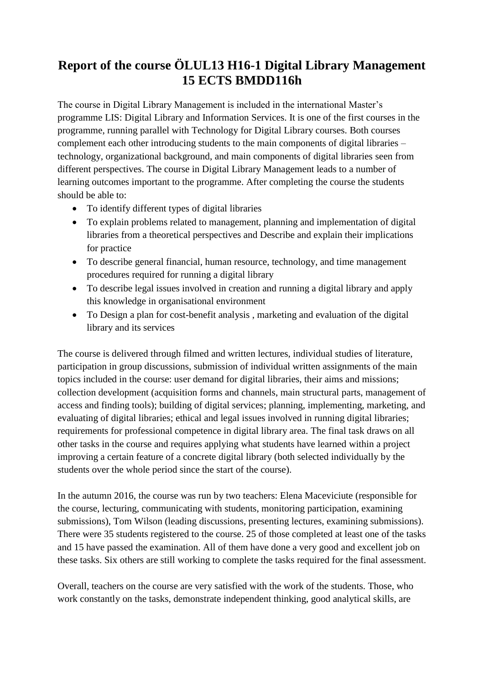## **Report of the course ÖLUL13 H16-1 Digital Library Management 15 ECTS BMDD116h**

The course in Digital Library Management is included in the international Master's programme LIS: Digital Library and Information Services. It is one of the first courses in the programme, running parallel with Technology for Digital Library courses. Both courses complement each other introducing students to the main components of digital libraries – technology, organizational background, and main components of digital libraries seen from different perspectives. The course in Digital Library Management leads to a number of learning outcomes important to the programme. After completing the course the students should be able to:

- To identify different types of digital libraries
- To explain problems related to management, planning and implementation of digital libraries from a theoretical perspectives and Describe and explain their implications for practice
- To describe general financial, human resource, technology, and time management procedures required for running a digital library
- To describe legal issues involved in creation and running a digital library and apply this knowledge in organisational environment
- To Design a plan for cost-benefit analysis , marketing and evaluation of the digital library and its services

The course is delivered through filmed and written lectures, individual studies of literature, participation in group discussions, submission of individual written assignments of the main topics included in the course: user demand for digital libraries, their aims and missions; collection development (acquisition forms and channels, main structural parts, management of access and finding tools); building of digital services; planning, implementing, marketing, and evaluating of digital libraries; ethical and legal issues involved in running digital libraries; requirements for professional competence in digital library area. The final task draws on all other tasks in the course and requires applying what students have learned within a project improving a certain feature of a concrete digital library (both selected individually by the students over the whole period since the start of the course).

In the autumn 2016, the course was run by two teachers: Elena Maceviciute (responsible for the course, lecturing, communicating with students, monitoring participation, examining submissions), Tom Wilson (leading discussions, presenting lectures, examining submissions). There were 35 students registered to the course. 25 of those completed at least one of the tasks and 15 have passed the examination. All of them have done a very good and excellent job on these tasks. Six others are still working to complete the tasks required for the final assessment.

Overall, teachers on the course are very satisfied with the work of the students. Those, who work constantly on the tasks, demonstrate independent thinking, good analytical skills, are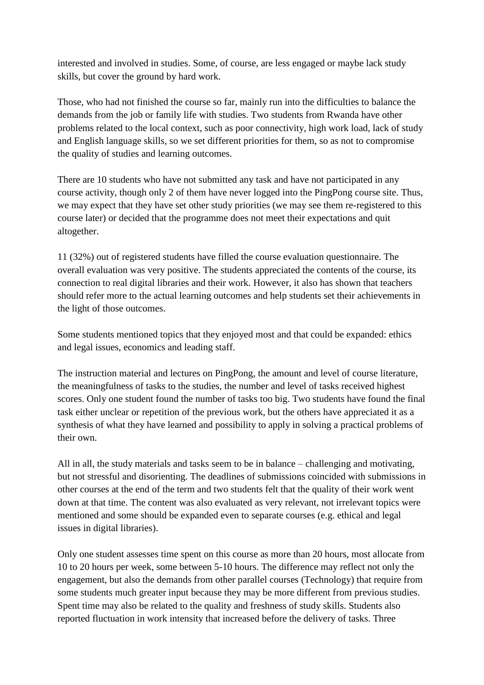interested and involved in studies. Some, of course, are less engaged or maybe lack study skills, but cover the ground by hard work.

Those, who had not finished the course so far, mainly run into the difficulties to balance the demands from the job or family life with studies. Two students from Rwanda have other problems related to the local context, such as poor connectivity, high work load, lack of study and English language skills, so we set different priorities for them, so as not to compromise the quality of studies and learning outcomes.

There are 10 students who have not submitted any task and have not participated in any course activity, though only 2 of them have never logged into the PingPong course site. Thus, we may expect that they have set other study priorities (we may see them re-registered to this course later) or decided that the programme does not meet their expectations and quit altogether.

11 (32%) out of registered students have filled the course evaluation questionnaire. The overall evaluation was very positive. The students appreciated the contents of the course, its connection to real digital libraries and their work. However, it also has shown that teachers should refer more to the actual learning outcomes and help students set their achievements in the light of those outcomes.

Some students mentioned topics that they enjoyed most and that could be expanded: ethics and legal issues, economics and leading staff.

The instruction material and lectures on PingPong, the amount and level of course literature, the meaningfulness of tasks to the studies, the number and level of tasks received highest scores. Only one student found the number of tasks too big. Two students have found the final task either unclear or repetition of the previous work, but the others have appreciated it as a synthesis of what they have learned and possibility to apply in solving a practical problems of their own.

All in all, the study materials and tasks seem to be in balance – challenging and motivating, but not stressful and disorienting. The deadlines of submissions coincided with submissions in other courses at the end of the term and two students felt that the quality of their work went down at that time. The content was also evaluated as very relevant, not irrelevant topics were mentioned and some should be expanded even to separate courses (e.g. ethical and legal issues in digital libraries).

Only one student assesses time spent on this course as more than 20 hours, most allocate from 10 to 20 hours per week, some between 5-10 hours. The difference may reflect not only the engagement, but also the demands from other parallel courses (Technology) that require from some students much greater input because they may be more different from previous studies. Spent time may also be related to the quality and freshness of study skills. Students also reported fluctuation in work intensity that increased before the delivery of tasks. Three